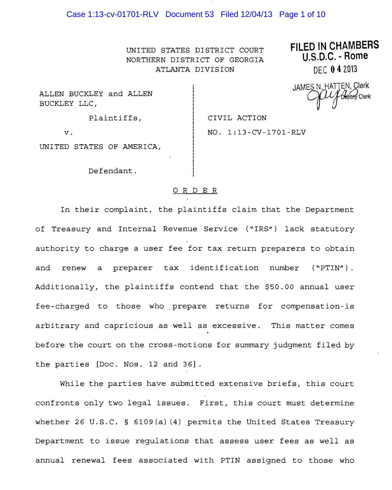### Case 1:13-cv-01701-RLV Document 53 Filed 12/04/13 Page 1 of 10

NORTHERN DISTRICT OF GEORGIA **U.S.U.C. PHOTE**<br>ATLANTA DIVISION **REGISTER** REGISTER ATLANTA DIVISION

UNITED STATES DISTRICT COURT **FILED IN CHAMBERS**

ALLEN BUCKLEY BUCKLEY LLC,

JAMES N. HATTEN, Clerk and ALLEN  $\tilde{C}$ 

Plaintiffs,  $\vert$  CIVIL ACTION

v. 1:13-CV-1701-RLV

UNITED STATES OF AMERICA,

Defendant.

#### ORDER

In their complaint, the plaintiffs claim that the Department of Treasury and Internal Revenue Service ("IRS") lack statutory authority to charge a user fee for tax return preparers to obtain and renew a preparer tax identification number ("PTIN") . Additionally, the plaintiffs contend that the \$50.00 annual user fee-charged to those who prepare returns for compensation-is arbitrary and capricious as well as excessive. This matter comes before the court on the cross-motions for summary judgment filed by the parties [Doc. Nos. 12 and 36] .

While the parties have submitted extensive briefs, this court confronts only two legal issues. First, this court must determine whether 26 U.S.C. § 6109(a) (4) permits the United States Treasury Department to issue regulations that assess user fees as well as annual renewal fees associated with PTIN assigned to those who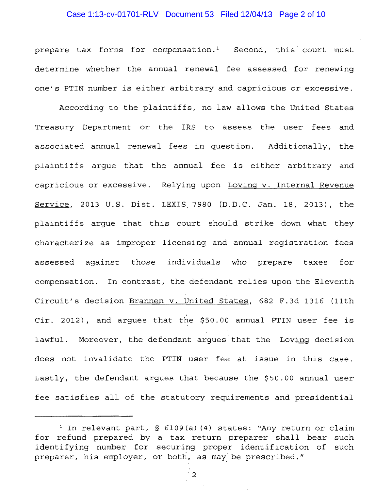### Case 1:13-cv-01701-RLV Document 53 Filed 12/04/13 Page 2 of 10

prepare tax forms for compensation.<sup>1</sup> Second, this court must determine whether the annual renewal fee assessed for renewing one's PTIN number is either arbitrary and capricious or excessive.

According to the plaintiffs, no law allows the United States Treasury Department or the IRS to assess the user fees and associated annual renewal fees in question. Additionally, the plaintiffs argue that the annual fee is either arbitrary and capricious or excessive. Relying upon Loving v. Internal Revenue Service, 2013 U.S. Dist. LEXIS.7980 (D.D.C. Jan. 18, 2013), the plaintiffs argue that this court should strike down what they characterize as improper licensing and annual registration fees assessed against those individuals who prepare taxes for compensation. In contrast, the defendant relies upon the Eleventh Circuit's decision Brannen v. United States, 682 F.3d 1316 (11th Cir. 2012), and argues that the \$50.00 annual PTIN user fee is lawful. Moreover, the defendant argues that the Loving decision does not invalidate the PTIN user fee at issue in this case. Lastly, the defendant argues that because the \$50.00 annual user fee satisfies all of the statutory requirements and presidential

"2

<sup>&</sup>lt;sup>1</sup> In relevant part, § 6109(a)(4) states: "Any return or claim for refund prepared by a tax return preparer shall bear such identifying number for securing proper identification of such preparer, his employer, or both, as may be prescribed."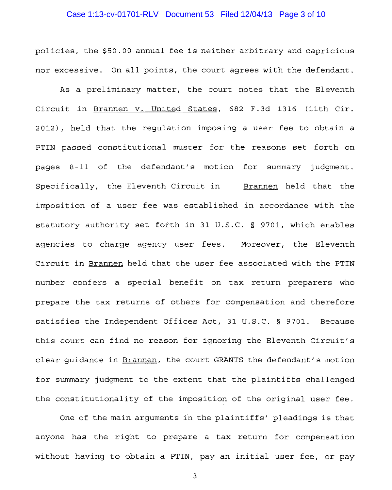### Case 1:13-cv-01701-RLV Document 53 Filed 12/04/13 Page 3 of 10

policies, the \$50.00 annual fee is neither arbitrary and capricious nor excessive. On all points, the court agrees with the defendant.

As a preliminary matter, the court notes that the Eleventh Circuit in Brannen v. United States, 682 F. 3d 1316 (11th Cir. 2012), held that the regulation imposing a user fee to obtain a PTIN passed constitutional muster for the reasons set forth on pages 8-11 of the defendant's motion for summary judgment. Specifically, the Eleventh Circuit in Brannen held that the imposition of a user fee was established in accordance with the statutory authority set forth in 31 U.S.C. § 9701, which enables agencies to charge agency user fees. Moreover, the Eleventh Circuit in Brannen held that the user fee associated with the PTIN number confers a special benefit on tax return preparers who prepare the tax returns of others for compensation and therefore satisfies Independent Offices Act, 31 U.S.C. § 9701. Because this court can find no reason for ignoring the Eleventh Circuit's clear guidance in Brannen, the court GRANTS the defendant's motion for summary judgment to the extent that the plaintiffs challenged the constitutionality of the imposition of the original user fee.

One of the main arguments in the plaintiffs' pleadings is that anyone has the right to prepare a tax return for compensation without having to obtain a PTIN, pay an initial user fee, or pay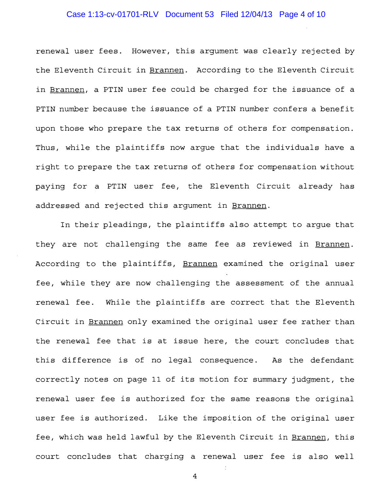### Case 1:13-cv-01701-RLV Document 53 Filed 12/04/13 Page 4 of 10

renewal user fees. However, this argument was clearly rejected by the Eleventh Circuit in Brannen. According to the Eleventh Circuit in Brannen, a PTIN user fee could be charged for the issuance of a PTIN number because the issuance of a PTIN number confers a benefit upon those who prepare the tax returns of others for compensation. Thus, while the plaintiffs now argue that the individuals have a right to prepare the tax returns of others for compensation without paying for a PTIN user fee, the Eleventh Circuit already has addressed and rejected this argument in Brannen.

In their pleadings, the plaintiffs also attempt to arque that they are not challenging the same fee as reviewed in Brannen. According to the plaintiffs, Brannen examined the original user fee, while they are now challenging the assessment of the annual renewal fee. While the plaintiffs are correct that the Eleventh Circuit in Brannen only examined the original user fee rather than the renewal fee that is at issue here, the court concludes that this difference is of no legal consequence. As the defendant correctly notes on page 11 of its motion for summary judgment, the renewal user is authorized for the same reasons the original user fee is authorized. Like the imposition of the original user fee, which was held lawful by the Eleventh Circuit in Brannen, this court concludes that charging a renewal user fee is also well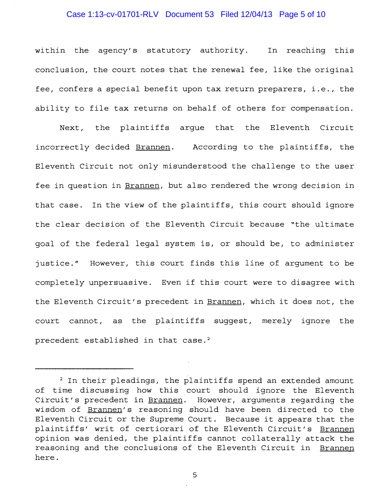### Case 1:13-cv-01701-RLV Document 53 Filed 12/04/13 Page 5 of 10

within the agency's statutory authority. In reaching this conclusion, the court notes that the renewal fee, like the original fee, confers a special benefit upon tax return preparers, i.e., the ability to file tax returns on behalf of others for compensation.

Next, the plaintiffs argue that the Eleventh Circuit incorrectly decided Brannen. According to the plaintiffs, the Eleventh Circuit not only misunderstood the challenge to the user fee in question in Brannen, but also rendered the wrong decision in that case. In the view of the plaintiffs, this court should ignore the clear decision of the Eleventh Circuit because "the ultimate goal of the federal legal system is, or should be, to administer justice." However, this court finds this line of argument to be completely unpersuasive. Even if this court were to disagree with the Eleventh Circuit's precedent in Brannen, which it does not, the court cannot, as the plaintiffs suggest, merely ignore the precedent established in that case. 2

<sup>&</sup>lt;sup>2</sup> In their pleadings, the plaintiffs spend an extended amount of time discussing how this court should ignore the Eleventh Circuit's precedent in Brannen. However, arguments regarding the wisdom of Brannen's reasoning should have been directed to the Eleventh Circuit or the Supreme Court. Because it appears that the plaintiffs' writ of certiorari of the Eleventh Circuit's Brannen opinion was denied, the plaintiffs cannot collaterally attack the reasoning and the conclusions of the Eleventh Circuit in Brannen here.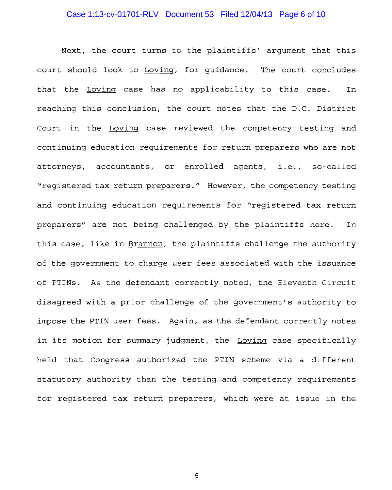# Case 1:13-cv-01701-RLV Document 53 Filed 12/04/13 Page 6 of 10

Next, the court turns to the plaintiffs' argument that this court should look to Loving, for guidance. The court concludes that the Loving case has no applicability to this case. In reaching this conclusion, the court notes that the D.C. District Court in the Loving case reviewed the competency testing and continuing education requirements for return preparers who are not attorneys, accountants, or enrolled agents, i.e., so-called "registered tax return preparers." However, the competency testing and continuing education requirements for "registered tax return preparers" are not being challenged by the plaintiffs here. In this case, like in Brannen, the plaintiffs challenge the authority of the government to charge user fees associated with the issuance of PTINs. As the defendant correctly noted, the Eleventh Circuit disagreed with a prior challenge of the government's authority to impose the PTIN user fees. Again, as the defendant correctly notes in its motion for summary judgment, the Loving case specifically held that Congress authorized the PTIN scheme via a different statutory authority than the testing and competency requirements for registered tax return preparers, which were at issue in the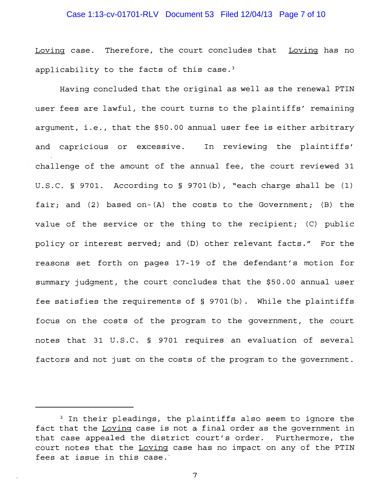# Case 1:13-cv-01701-RLV Document 53 Filed 12/04/13 Page 7 of 10

Loving case. Therefore, the court concludes that Loving has no applicability to the facts of this case. $3$ 

Having concluded that the original as well as the renewal PTIN user fees are lawful, the court turns to the plaintiffs' remaining argument, i.e., that the \$50.00 annual user fee is either arbitrary and capricious or excessive. In reviewing the plaintiffs' challenge of the amount of the annual fee, the court reviewed 31 u.s.C. § 9701. According to § 9701(b), "each charge shall be (1) fair; and  $(2)$  based on- $(A)$  the costs to the Government;  $(B)$  the value of the service or the thing to the recipient; (C) public policy or interest served; and (D) other relevant facts." For the reasons set forth on pages 17-19 of the defendant's motion for summary judgment, the court concludes that the \$50.00 annual user fee satisfies the requirements of  $\S$  9701(b). While the plaintiffs focus on the costs of the program to the government, the court notes that 31 U.S.C. § 9701 requires an evaluation of several factors and not just on the costs of the program to the government.

<sup>&</sup>lt;sup>3</sup> In their pleadings, the plaintiffs also seem to ignore the fact that the Loving case is not a final order as the government in that case appealed the district court's order. Furthermore, the court notes that the Loving case has no impact on any of the PTIN fees at issue in this case.'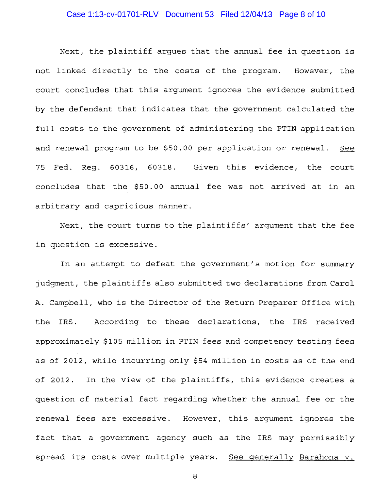# Case 1:13-cv-01701-RLV Document 53 Filed 12/04/13 Page 8 of 10

Next, the plaintiff argues that the annual fee in question is not linked directly to the costs of the program. However, the court concludes that this argument ignores the evidence submitted by the defendant that indicates that the government calculated the full costs to the government of administering the PTIN application and renewal program to be \$50.00 per application or renewal. See 75 Fed. Reg. 60316, 60318. Given this evidence, the court concludes that the \$50.00 annual fee was not arrived at in an arbitrary and capricious manner.

Next, the court turns to the plaintiffs' argument that the fee in question is excessive.

In an attempt to defeat the government's motion for summary judgment, the plaintiffs also submitted two declarations from Carol A. Campbell, who is the Director of the Return Preparer Office with the IRS. According to these declarations, the IRS received approximately \$105 million in PTIN fees and competency testing fees as of 2012, while incurring only \$54 million in costs as of the end 2012. In the view of the plaintiffs, this evidence creates a question of material fact regarding whether the annual fee or the renewal fees are excessive. However, this argument ignores the fact that a government agency such as the IRS may permissibly spread its costs over multiple years. See generally Barahona v.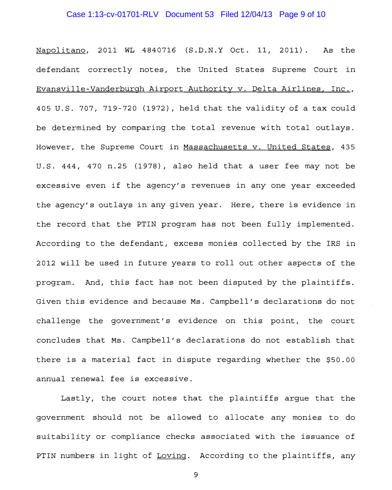### Case 1:13-cv-01701-RLV Document 53 Filed 12/04/13 Page 9 of 10

Napolitano, 2011 WL 4840716 (S.D.N.Y Oct. 11, 2011). As the defendant correctly notes, the United States Supreme Court in Evansville-Vanderburgh Airport Authority v. Delta Airlines, Inc., 405 U.S. 707, 719 720 (1972), held that the validity of a tax could be determined by comparing the total revenue with total outlays. However, the Supreme Court in Massachusetts v. United States, 435 U.S. 444, 470 n.25 (1978), also held that a user fee may not be excessive even if the agency/s revenues in anyone year exceeded the agency/s outlays in any given year. Here, there is evidence in the record that the PTIN program has not been fully implemented. According to the defendant, excess monies collected by the IRS in 2012 will be used in future years to rollout other aspects of the program. And, this fact has not been disputed by the plaintiffs. Given this evidence and because Ms. Campbell/s declarations do not challenge the government's evidence on this point, the court concludes that Ms. Campbell's declarations do not establish that there is a material fact in dispute regarding whether the \$50.00 annual renewal fee is excessive.

Lastly, the court notes that the plaintiffs argue that the government should not be allowed to allocate any monies to do suitability or compliance checks associated with the issuance of PTIN numbers in light of Loving. According to the plaintiffs, any